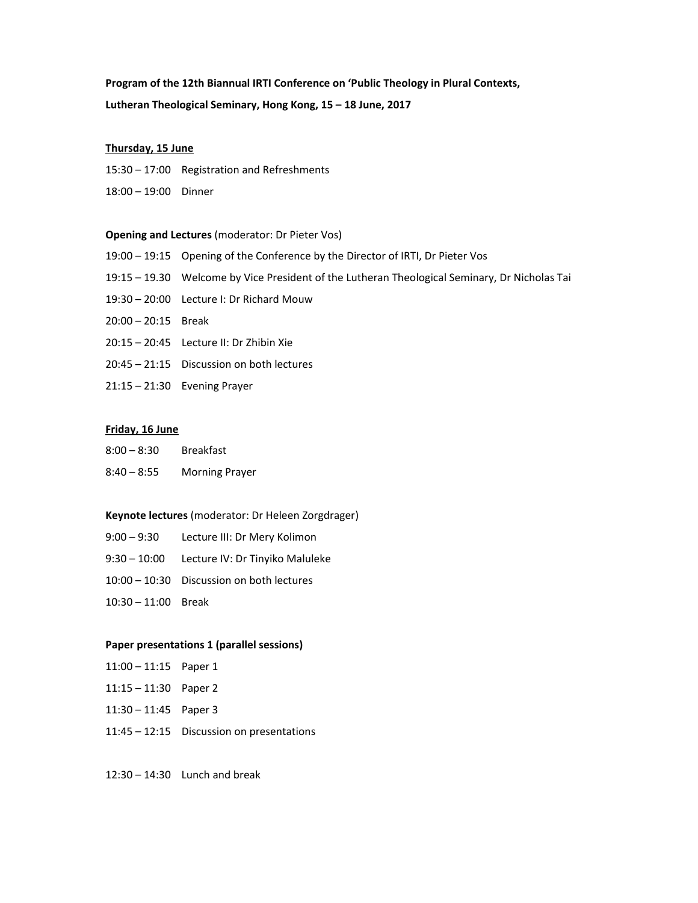# **Program of the 12th Biannual IRTI Conference on 'Public Theology in Plural Contexts, Lutheran Theological Seminary, Hong Kong, 15 – 18 June, 2017**

#### **Thursday, 15 June**

15:30 – 17:00 Registration and Refreshments

18:00 – 19:00 Dinner

#### **Opening and Lectures** (moderator: Dr Pieter Vos)

- 19:00 19:15 Opening of the Conference by the Director of IRTI, Dr Pieter Vos
- 19:15 19.30 Welcome by Vice President of the Lutheran Theological Seminary, Dr Nicholas Tai
- 19:30 20:00 Lecture I: Dr Richard Mouw
- 20:00 20:15 Break
- 20:15 20:45 Lecture II: Dr Zhibin Xie
- 20:45 21:15 Discussion on both lectures
- 21:15 21:30 Evening Prayer

## **Friday, 16 June**

- 8:00 8:30 Breakfast
- 8:40 8:55 Morning Prayer

## **Keynote lectures** (moderator: Dr Heleen Zorgdrager)

- 9:00 9:30 Lecture III: Dr Mery Kolimon
- 9:30 10:00 Lecture IV: Dr Tinyiko Maluleke
- 10:00 10:30 Discussion on both lectures
- 10:30 11:00 Break

#### **Paper presentations 1 (parallel sessions)**

- 11:00 11:15 Paper 1
- 11:15 11:30 Paper 2
- 11:30 11:45 Paper 3
- 11:45 12:15 Discussion on presentations

12:30 – 14:30 Lunch and break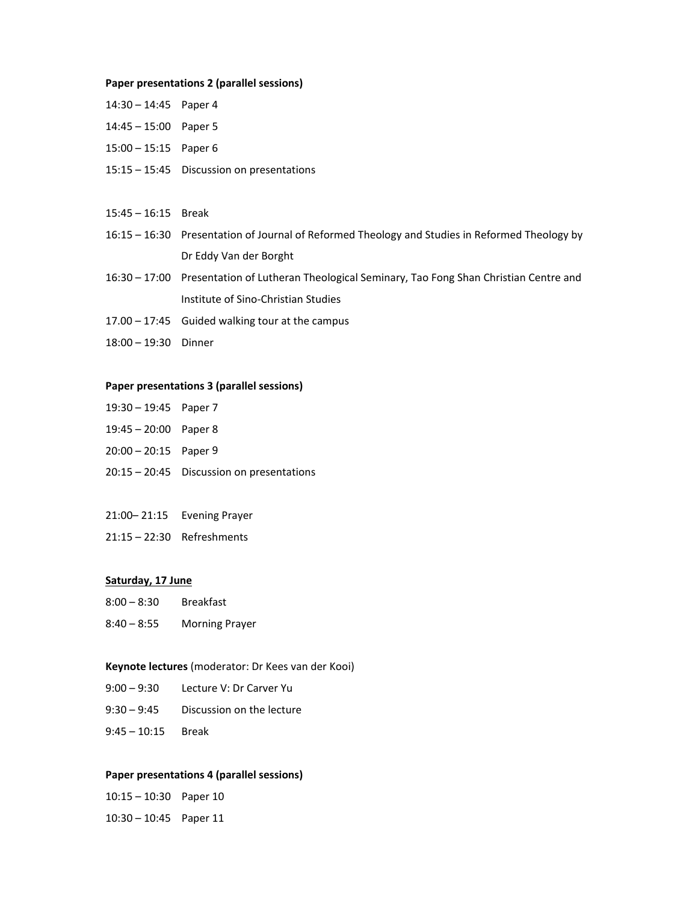#### **Paper presentations 2 (parallel sessions)**

| $14:30 - 14:45$ Paper 4 |                                                                                                 |
|-------------------------|-------------------------------------------------------------------------------------------------|
| $14:45 - 15:00$ Paper 5 |                                                                                                 |
| $15:00 - 15:15$ Paper 6 |                                                                                                 |
|                         | $15:15 - 15:45$ Discussion on presentations                                                     |
|                         |                                                                                                 |
| $15:45 - 16:15$ Break   |                                                                                                 |
|                         | 16:15 – 16:30 Presentation of Journal of Reformed Theology and Studies in Reformed Theology by  |
|                         | Dr Eddy Van der Borght                                                                          |
|                         | 16:30 – 17:00 Presentation of Lutheran Theological Seminary, Tao Fong Shan Christian Centre and |
|                         | Institute of Sino-Christian Studies                                                             |

- 17.00 17:45 Guided walking tour at the campus
- 18:00 19:30 Dinner

#### **Paper presentations 3 (parallel sessions)**

- 19:30 19:45 Paper 7
- 19:45 20:00 Paper 8
- 20:00 20:15 Paper 9
- 20:15 20:45 Discussion on presentations
- 21:00– 21:15 Evening Prayer
- 21:15 22:30 Refreshments

#### **Saturday, 17 June**

- 8:00 8:30 Breakfast
- 8:40 8:55 Morning Prayer

## **Keynote lectures** (moderator: Dr Kees van der Kooi)

- 9:00 9:30 Lecture V: Dr Carver Yu
- 9:30 9:45 Discussion on the lecture
- 9:45 10:15 Break

## **Paper presentations 4 (parallel sessions)**

| $10:15 - 10:30$ Paper 10 |  |
|--------------------------|--|
| $10:30 - 10:45$ Paper 11 |  |